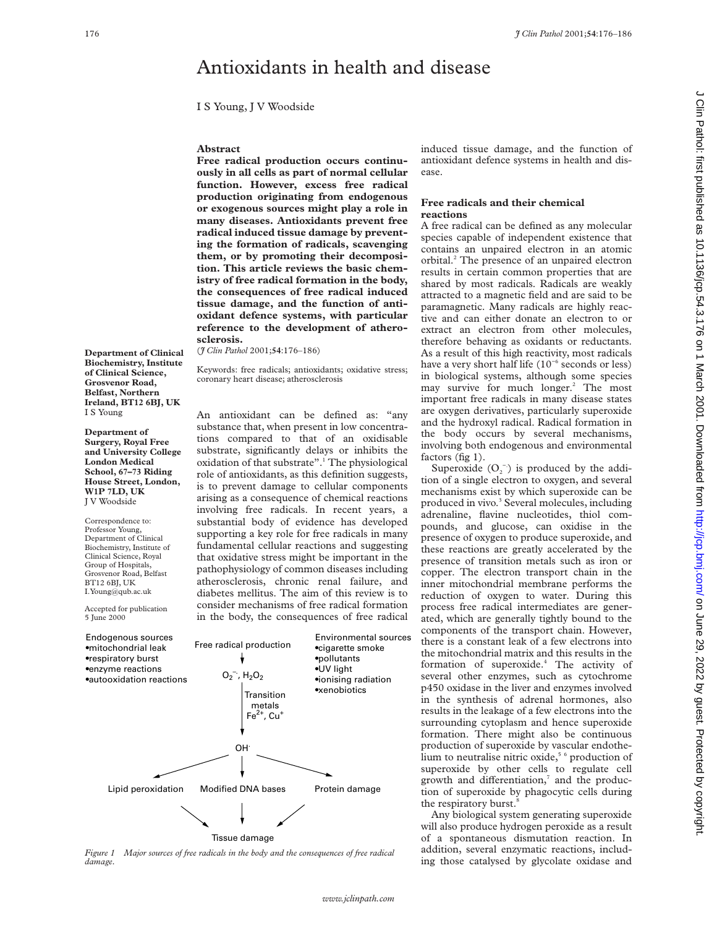# Antioxidants in health and disease

I S Young, J V Woodside

### **Abstract**

**Free radical production occurs continuously in all cells as part of normal cellular function. However, excess free radical production originating from endogenous or exogenous sources might play a role in many diseases. Antioxidants prevent free radical induced tissue damage by preventing the formation of radicals, scavenging them, or by promoting their decomposition. This article reviews the basic chemistry of free radical formation in the body, the consequences of free radical induced tissue damage, and the function of antioxidant defence systems, with particular reference to the development of atherosclerosis.**

(*J Clin Pathol* 2001;**54**:176–186)

Keywords: free radicals; antioxidants; oxidative stress; coronary heart disease; atherosclerosis

An antioxidant can be defined as: "any substance that, when present in low concentra-

**Department of Clinical Biochemistry, Institute of Clinical Science, Grosvenor Road, Belfast, Northern Ireland, BT12 6BJ, UK** I S Young

**Department of Surgery, Royal Free and University College London Medical School, 67–73 Riding House Street, London, W1P 7LD, UK** J V Woodside

Correspondence to: Professor Young, Department of Clinical Biochemistry, Institute of Clinical Science, Royal Group of Hospitals, Grosvenor Road, Belfast BT12 6BJ, UK I.Young@qub.ac.uk

Accepted for publication 5 June 2000



tions compared to that of an oxidisable substrate, significantly delays or inhibits the oxidation of that substrate".1 The physiological role of antioxidants, as this definition suggests, is to prevent damage to cellular components arising as a consequence of chemical reactions involving free radicals. In recent years, a substantial body of evidence has developed supporting a key role for free radicals in many fundamental cellular reactions and suggesting that oxidative stress might be important in the pathophysiology of common diseases including atherosclerosis, chronic renal failure, and diabetes mellitus. The aim of this review is to consider mechanisms of free radical formation in the body, the consequences of free radical



Tissue damage

ing those catalysed by glycolate oxidase and *Figure 1 Major sources of free radicals in the body and the consequences of free radical damage.*

induced tissue damage, and the function of antioxidant defence systems in health and disease.

## **Free radicals and their chemical reactions**

A free radical can be defined as any molecular species capable of independent existence that contains an unpaired electron in an atomic orbital.<sup>2</sup> The presence of an unpaired electron results in certain common properties that are shared by most radicals. Radicals are weakly attracted to a magnetic field and are said to be paramagnetic. Many radicals are highly reactive and can either donate an electron to or extract an electron from other molecules, therefore behaving as oxidants or reductants. As a result of this high reactivity, most radicals have a very short half life (10−6 seconds or less) in biological systems, although some species may survive for much longer.<sup>2</sup> The most important free radicals in many disease states are oxygen derivatives, particularly superoxide and the hydroxyl radical. Radical formation in the body occurs by several mechanisms, involving both endogenous and environmental factors (fig 1).

Superoxide  $(O_2^-)$  is produced by the addition of a single electron to oxygen, and several mechanisms exist by which superoxide can be produced in vivo.<sup>3</sup> Several molecules, including adrenaline, flavine nucleotides, thiol compounds, and glucose, can oxidise in the presence of oxygen to produce superoxide, and these reactions are greatly accelerated by the presence of transition metals such as iron or copper. The electron transport chain in the inner mitochondrial membrane performs the reduction of oxygen to water. During this process free radical intermediates are generated, which are generally tightly bound to the components of the transport chain. However, there is a constant leak of a few electrons into the mitochondrial matrix and this results in the formation of superoxide.4 The activity of several other enzymes, such as cytochrome p450 oxidase in the liver and enzymes involved in the synthesis of adrenal hormones, also results in the leakage of a few electrons into the surrounding cytoplasm and hence superoxide formation. There might also be continuous production of superoxide by vascular endothelium to neutralise nitric oxide,<sup>5  $\degree$ </sup> production of superoxide by other cells to regulate cell growth and differentiation, $7$  and the production of superoxide by phagocytic cells during the respiratory burst.<sup>8</sup>

Any biological system generating superoxide will also produce hydrogen peroxide as a result of a spontaneous dismutation reaction. In addition, several enzymatic reactions, includ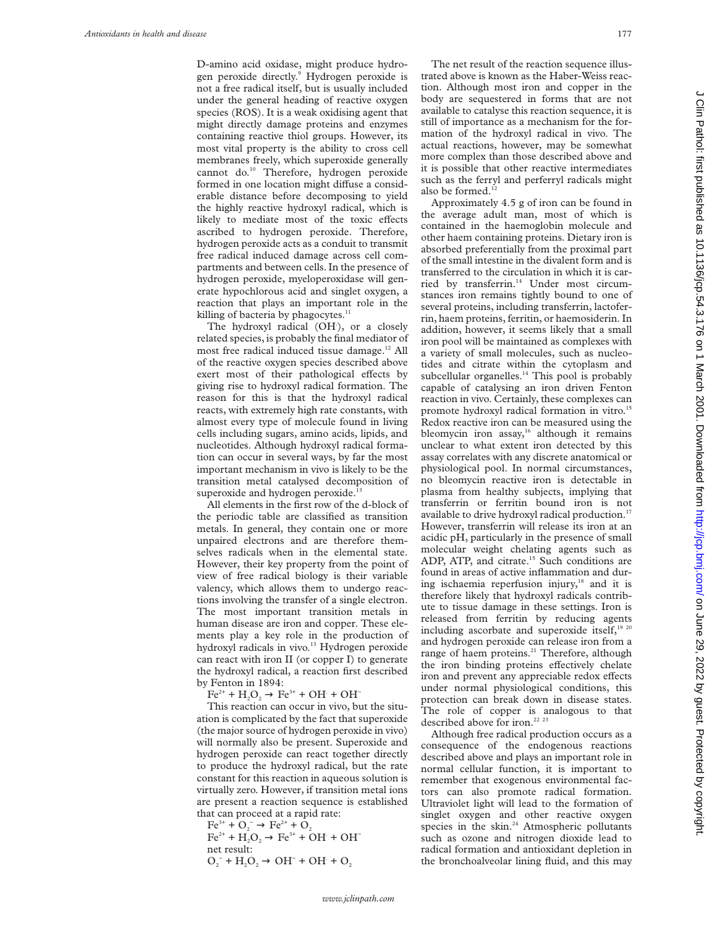D-amino acid oxidase, might produce hydrogen peroxide directly.<sup>9</sup> Hydrogen peroxide is not a free radical itself, but is usually included under the general heading of reactive oxygen species (ROS). It is a weak oxidising agent that might directly damage proteins and enzymes containing reactive thiol groups. However, its most vital property is the ability to cross cell membranes freely, which superoxide generally cannot do.10 Therefore, hydrogen peroxide formed in one location might diffuse a considerable distance before decomposing to yield the highly reactive hydroxyl radical, which is likely to mediate most of the toxic effects ascribed to hydrogen peroxide. Therefore, hydrogen peroxide acts as a conduit to transmit free radical induced damage across cell compartments and between cells. In the presence of hydrogen peroxide, myeloperoxidase will generate hypochlorous acid and singlet oxygen, a reaction that plays an important role in the killing of bacteria by phagocytes. $11$ 

The hydroxyl radical (OH), or a closely related species, is probably the final mediator of most free radical induced tissue damage.<sup>12</sup> All of the reactive oxygen species described above exert most of their pathological effects by giving rise to hydroxyl radical formation. The reason for this is that the hydroxyl radical reacts, with extremely high rate constants, with almost every type of molecule found in living cells including sugars, amino acids, lipids, and nucleotides. Although hydroxyl radical formation can occur in several ways, by far the most important mechanism in vivo is likely to be the transition metal catalysed decomposition of superoxide and hydrogen peroxide.<sup>13</sup>

All elements in the first row of the d-block of the periodic table are classified as transition metals. In general, they contain one or more unpaired electrons and are therefore themselves radicals when in the elemental state. However, their key property from the point of view of free radical biology is their variable valency, which allows them to undergo reactions involving the transfer of a single electron. The most important transition metals in human disease are iron and copper. These elements play a key role in the production of hydroxyl radicals in vivo.<sup>13</sup> Hydrogen peroxide can react with iron II (or copper I) to generate the hydroxyl radical, a reaction first described by Fenton in 1894:

 $Fe^{2+} + H_2O_2 \rightarrow Fe^{3+} + OH + OH^-$ 

This reaction can occur in vivo, but the situation is complicated by the fact that superoxide (the major source of hydrogen peroxide in vivo) will normally also be present. Superoxide and hydrogen peroxide can react together directly to produce the hydroxyl radical, but the rate constant for this reaction in aqueous solution is virtually zero. However, if transition metal ions are present a reaction sequence is established that can proceed at a rapid rate:

 $\text{Fe}^{3+} + \text{O}_2^- \rightarrow \text{Fe}^{2+} + \text{O}_2$  $Fe^{2+} + H_2O_2 \rightarrow Fe^{3+} + OH + OH^$ net result:  $O_2^- + H_2O_2 \rightarrow OH^- + OH + O_2$ 

The net result of the reaction sequence illustrated above is known as the Haber-Weiss reaction. Although most iron and copper in the body are sequestered in forms that are not available to catalyse this reaction sequence, it is still of importance as a mechanism for the formation of the hydroxyl radical in vivo. The actual reactions, however, may be somewhat more complex than those described above and it is possible that other reactive intermediates such as the ferryl and perferryl radicals might also be formed. $1$ 

Approximately 4.5 g of iron can be found in the average adult man, most of which is contained in the haemoglobin molecule and other haem containing proteins. Dietary iron is absorbed preferentially from the proximal part of the small intestine in the divalent form and is transferred to the circulation in which it is carried by transferrin.<sup>14</sup> Under most circumstances iron remains tightly bound to one of several proteins, including transferrin, lactoferrin, haem proteins, ferritin, or haemosiderin. In addition, however, it seems likely that a small iron pool will be maintained as complexes with a variety of small molecules, such as nucleotides and citrate within the cytoplasm and subcellular organelles. $14$  This pool is probably capable of catalysing an iron driven Fenton reaction in vivo. Certainly, these complexes can promote hydroxyl radical formation in vitro.<sup>15</sup> Redox reactive iron can be measured using the bleomycin iron assay,<sup>16</sup> although it remains unclear to what extent iron detected by this assay correlates with any discrete anatomical or physiological pool. In normal circumstances, no bleomycin reactive iron is detectable in plasma from healthy subjects, implying that transferrin or ferritin bound iron is not available to drive hydroxyl radical production.<sup>17</sup> However, transferrin will release its iron at an acidic pH, particularly in the presence of small molecular weight chelating agents such as ADP, ATP, and citrate.<sup>15</sup> Such conditions are found in areas of active inflammation and during ischaemia reperfusion injury,<sup>18</sup> and it is therefore likely that hydroxyl radicals contribute to tissue damage in these settings. Iron is released from ferritin by reducing agents including ascorbate and superoxide itself,<sup>19 20</sup> and hydrogen peroxide can release iron from a range of haem proteins.<sup>21</sup> Therefore, although the iron binding proteins effectively chelate iron and prevent any appreciable redox effects under normal physiological conditions, this protection can break down in disease states. The role of copper is analogous to that described above for iron.<sup>22</sup> <sup>23</sup>

Although free radical production occurs as a consequence of the endogenous reactions described above and plays an important role in normal cellular function, it is important to remember that exogenous environmental factors can also promote radical formation. Ultraviolet light will lead to the formation of singlet oxygen and other reactive oxygen species in the skin. $24$  Atmospheric pollutants such as ozone and nitrogen dioxide lead to radical formation and antioxidant depletion in the bronchoalveolar lining fluid, and this may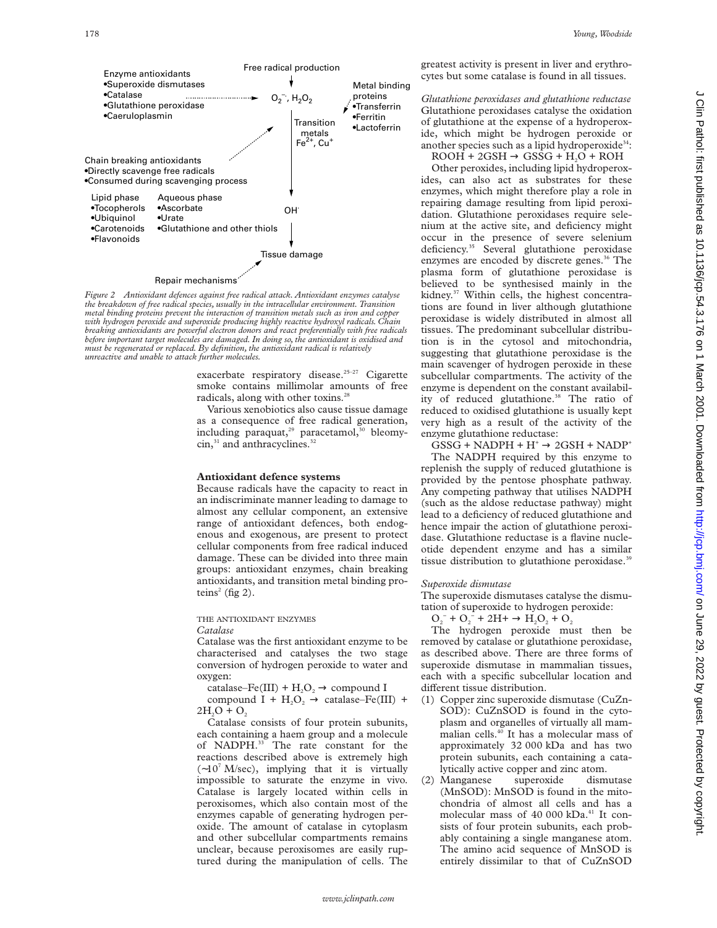

*Figure 2 Antioxidant defences against free radical attack. Antioxidant enzymes catalyse the breakdown of free radical species, usually in the intracellular environment. Transition metal binding proteins prevent the interaction of transition metals such as iron and copper with hydrogen peroxide and superoxide producing highly reactive hydroxyl radicals. Chain breaking antioxidants are powerful electron donors and react preferentially with free radicals before important target molecules are damaged. In doing so, the antioxidant is oxidised and must be regenerated or replaced. By definition, the antioxidant radical is relatively unreactive and unable to attack further molecules.*

exacerbate respiratory disease.<sup>25-27</sup> Cigarette smoke contains millimolar amounts of free radicals, along with other toxins.<sup>28</sup>

Various xenobiotics also cause tissue damage as a consequence of free radical generation, including paraquat,<sup>29</sup> paracetamol,<sup>30</sup> bleomycin,<sup>31</sup> and anthracyclines.<sup>32</sup>

#### **Antioxidant defence systems**

Because radicals have the capacity to react in an indiscriminate manner leading to damage to almost any cellular component, an extensive range of antioxidant defences, both endogenous and exogenous, are present to protect cellular components from free radical induced damage. These can be divided into three main groups: antioxidant enzymes, chain breaking antioxidants, and transition metal binding proteins<sup>2</sup> (fig 2).

#### THE ANTIOXIDANT ENZYMES *Catalase*

Catalase was the first antioxidant enzyme to be characterised and catalyses the two stage conversion of hydrogen peroxide to water and oxygen:

catalase–Fe(III) +  $H_2O_2 \rightarrow$  compound I

compound I +  $H_2O_2 \rightarrow$  catalase–Fe(III) +  $2H<sub>2</sub>O + O<sub>2</sub>$ 

Catalase consists of four protein subunits, each containing a haem group and a molecule of NADPH.<sup>33</sup> The rate constant for the reactions described above is extremely high (∼107 M/sec), implying that it is virtually impossible to saturate the enzyme in vivo. Catalase is largely located within cells in peroxisomes, which also contain most of the enzymes capable of generating hydrogen peroxide. The amount of catalase in cytoplasm and other subcellular compartments remains unclear, because peroxisomes are easily ruptured during the manipulation of cells. The greatest activity is present in liver and erythrocytes but some catalase is found in all tissues.

*Glutathione peroxidases and glutathione reductase* Glutathione peroxidases catalyse the oxidation of glutathione at the expense of a hydroperoxide, which might be hydrogen peroxide or another species such as a lipid hydroperoxide<sup>34</sup>:  $ROOH + 2GSH \rightarrow GSSG + H<sub>2</sub>O + ROH$ 

Other peroxides, including lipid hydroperoxides, can also act as substrates for these enzymes, which might therefore play a role in repairing damage resulting from lipid peroxidation. Glutathione peroxidases require selenium at the active site, and deficiency might occur in the presence of severe selenium deficiency.<sup>35</sup> Several glutathione peroxidase enzymes are encoded by discrete genes.<sup>36</sup> The plasma form of glutathione peroxidase is believed to be synthesised mainly in the kidney.<sup>37</sup> Within cells, the highest concentrations are found in liver although glutathione peroxidase is widely distributed in almost all tissues. The predominant subcellular distribution is in the cytosol and mitochondria, suggesting that glutathione peroxidase is the main scavenger of hydrogen peroxide in these subcellular compartments. The activity of the enzyme is dependent on the constant availability of reduced glutathione.<sup>38</sup> The ratio of reduced to oxidised glutathione is usually kept very high as a result of the activity of the enzyme glutathione reductase:

 $GSSG + NADPH + H^+ \rightarrow 2GSH + NADP^+$ 

The NADPH required by this enzyme to replenish the supply of reduced glutathione is provided by the pentose phosphate pathway. Any competing pathway that utilises NADPH (such as the aldose reductase pathway) might lead to a deficiency of reduced glutathione and hence impair the action of glutathione peroxidase. Glutathione reductase is a flavine nucleotide dependent enzyme and has a similar tissue distribution to glutathione peroxidase.<sup>39</sup>

#### *Superoxide dismutase*

The superoxide dismutases catalyse the dismutation of superoxide to hydrogen peroxide:

 $O_2^- + O_2^- + 2H + \rightarrow H_2O_2 + O_2$ 

The hydrogen peroxide must then be removed by catalase or glutathione peroxidase, as described above. There are three forms of superoxide dismutase in mammalian tissues, each with a specific subcellular location and different tissue distribution.

- (1) Copper zinc superoxide dismutase (CuZn-SOD): CuZnSOD is found in the cytoplasm and organelles of virtually all mammalian cells.40 It has a molecular mass of approximately 32 000 kDa and has two protein subunits, each containing a catalytically active copper and zinc atom.
- (2) Manganese superoxide dismutase (MnSOD): MnSOD is found in the mitochondria of almost all cells and has a molecular mass of 40 000 kDa.<sup>41</sup> It consists of four protein subunits, each probably containing a single manganese atom. The amino acid sequence of MnSOD is entirely dissimilar to that of CuZnSOD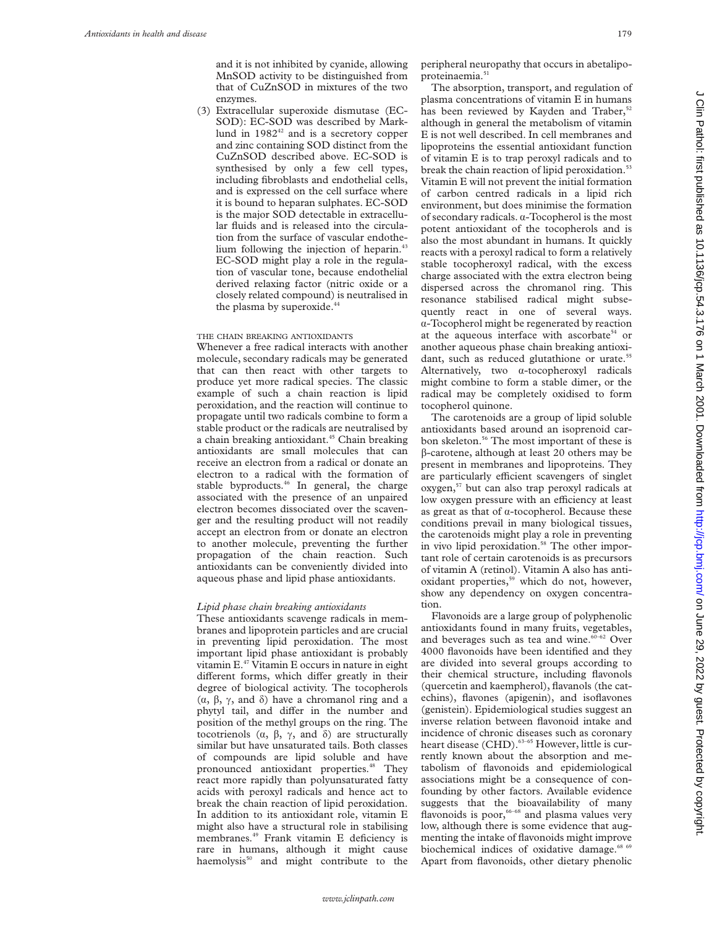and it is not inhibited by cyanide, allowing MnSOD activity to be distinguished from that of CuZnSOD in mixtures of the two enzymes.

(3) Extracellular superoxide dismutase (EC-SOD): EC-SOD was described by Marklund in  $1982<sup>42</sup>$  and is a secretory copper and zinc containing SOD distinct from the CuZnSOD described above. EC-SOD is synthesised by only a few cell types, including fibroblasts and endothelial cells, and is expressed on the cell surface where it is bound to heparan sulphates. EC-SOD is the major SOD detectable in extracellular fluids and is released into the circulation from the surface of vascular endothelium following the injection of heparin.<sup>42</sup> EC-SOD might play a role in the regulation of vascular tone, because endothelial derived relaxing factor (nitric oxide or a closely related compound) is neutralised in the plasma by superoxide.<sup>44</sup>

#### THE CHAIN BREAKING ANTIOXIDANTS

Whenever a free radical interacts with another molecule, secondary radicals may be generated that can then react with other targets to produce yet more radical species. The classic example of such a chain reaction is lipid peroxidation, and the reaction will continue to propagate until two radicals combine to form a stable product or the radicals are neutralised by a chain breaking antioxidant.<sup>45</sup> Chain breaking antioxidants are small molecules that can receive an electron from a radical or donate an electron to a radical with the formation of stable byproducts. $46$  In general, the charge associated with the presence of an unpaired electron becomes dissociated over the scavenger and the resulting product will not readily accept an electron from or donate an electron to another molecule, preventing the further propagation of the chain reaction. Such antioxidants can be conveniently divided into aqueous phase and lipid phase antioxidants.

#### *Lipid phase chain breaking antioxidants*

These antioxidants scavenge radicals in membranes and lipoprotein particles and are crucial in preventing lipid peroxidation. The most important lipid phase antioxidant is probably vitamin E.47 Vitamin E occurs in nature in eight different forms, which differ greatly in their degree of biological activity. The tocopherols  $(\alpha, \beta, \gamma, \text{ and } \delta)$  have a chromanol ring and a phytyl tail, and differ in the number and position of the methyl groups on the ring. The tocotrienols  $(\alpha, \beta, \gamma, \text{ and } \delta)$  are structurally similar but have unsaturated tails. Both classes of compounds are lipid soluble and have pronounced antioxidant properties.<sup>48</sup> They react more rapidly than polyunsaturated fatty acids with peroxyl radicals and hence act to break the chain reaction of lipid peroxidation. In addition to its antioxidant role, vitamin E might also have a structural role in stabilising membranes.<sup>49</sup> Frank vitamin E deficiency is rare in humans, although it might cause haemolysis<sup>50</sup> and might contribute to the

peripheral neuropathy that occurs in abetalipoproteinaemia.<sup>51</sup>

The absorption, transport, and regulation of plasma concentrations of vitamin E in humans has been reviewed by Kayden and Traber,<sup>52</sup> although in general the metabolism of vitamin E is not well described. In cell membranes and lipoproteins the essential antioxidant function of vitamin E is to trap peroxyl radicals and to break the chain reaction of lipid peroxidation.<sup>53</sup> Vitamin E will not prevent the initial formation of carbon centred radicals in a lipid rich environment, but does minimise the formation of secondary radicals.  $\alpha$ -Tocopherol is the most potent antioxidant of the tocopherols and is also the most abundant in humans. It quickly reacts with a peroxyl radical to form a relatively stable tocopheroxyl radical, with the excess charge associated with the extra electron being dispersed across the chromanol ring. This resonance stabilised radical might subsequently react in one of several ways. á-Tocopherol might be regenerated by reaction at the aqueous interface with ascorbate<sup>54</sup> or another aqueous phase chain breaking antioxidant, such as reduced glutathione or urate.<sup>55</sup> Alternatively, two  $\alpha$ -tocopheroxyl radicals might combine to form a stable dimer, or the radical may be completely oxidised to form tocopherol quinone.

The carotenoids are a group of lipid soluble antioxidants based around an isoprenoid carbon skeleton.<sup>56</sup> The most important of these is  $\beta$ -carotene, although at least 20 others may be present in membranes and lipoproteins. They are particularly efficient scavengers of singlet oxygen,<sup>57</sup> but can also trap peroxyl radicals at low oxygen pressure with an efficiency at least as great as that of  $\alpha$ -tocopherol. Because these conditions prevail in many biological tissues, the carotenoids might play a role in preventing in vivo lipid peroxidation.<sup>58</sup> The other important role of certain carotenoids is as precursors of vitamin A (retinol). Vitamin A also has antioxidant properties,<sup>59</sup> which do not, however, show any dependency on oxygen concentration.

Flavonoids are a large group of polyphenolic antioxidants found in many fruits, vegetables, and beverages such as tea and wine. $60-62}$  Over 4000 flavonoids have been identified and they are divided into several groups according to their chemical structure, including flavonols (quercetin and kaempherol), flavanols (the catechins), flavones (apigenin), and isoflavones (genistein). Epidemiological studies suggest an inverse relation between flavonoid intake and incidence of chronic diseases such as coronary heart disease (CHD).<sup>63-65</sup> However, little is currently known about the absorption and metabolism of flavonoids and epidemiological associations might be a consequence of confounding by other factors. Available evidence suggests that the bioavailability of many flavonoids is poor, $66-68$  and plasma values very low, although there is some evidence that augmenting the intake of flavonoids might improve biochemical indices of oxidative damage.<sup>68 69</sup> Apart from flavonoids, other dietary phenolic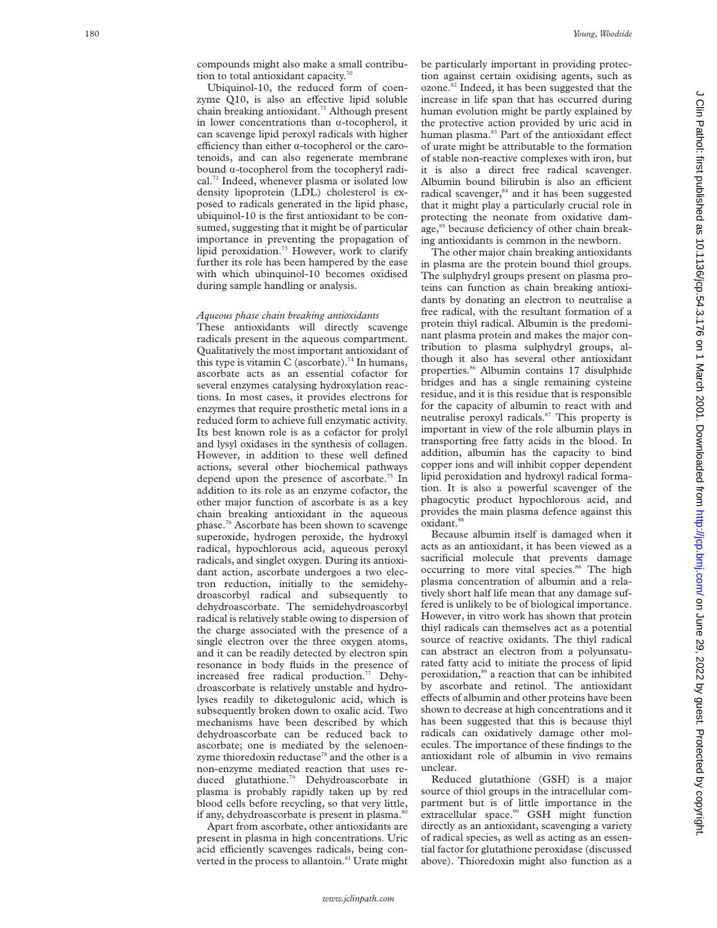compounds might also make a small contribution to total antioxidant capacity.<sup>70</sup>

Ubiquinol-10, the reduced form of coenzyme Q10, is also an effective lipid soluble chain breaking antioxidant.<sup>71</sup> Although present in lower concentrations than  $\alpha$ -tocopherol, it can scavenge lipid peroxyl radicals with higher efficiency than either  $\alpha$ -tocopherol or the carotenoids, and can also regenerate membrane bound á-tocopherol from the tocopheryl radical.<sup>72</sup> Indeed, whenever plasma or isolated low density lipoprotein (LDL) cholesterol is exposed to radicals generated in the lipid phase, ubiquinol-10 is the first antioxidant to be consumed, suggesting that it might be of particular importance in preventing the propagation of lipid peroxidation.<sup>73</sup> However, work to clarify further its role has been hampered by the ease with which ubinquinol-10 becomes oxidised during sample handling or analysis.

#### *Aqueous phase chain breaking antioxidants*

These antioxidants will directly scavenge radicals present in the aqueous compartment. Qualitatively the most important antioxidant of this type is vitamin C (ascorbate).<sup>74</sup> In humans, ascorbate acts as an essential cofactor for several enzymes catalysing hydroxylation reactions. In most cases, it provides electrons for enzymes that require prosthetic metal ions in a reduced form to achieve full enzymatic activity. Its best known role is as a cofactor for prolyl and lysyl oxidases in the synthesis of collagen. However, in addition to these well defined actions, several other biochemical pathways depend upon the presence of ascorbate.<sup>75</sup> In addition to its role as an enzyme cofactor, the other major function of ascorbate is as a key chain breaking antioxidant in the aqueous phase.76 Ascorbate has been shown to scavenge superoxide, hydrogen peroxide, the hydroxyl radical, hypochlorous acid, aqueous peroxyl radicals, and singlet oxygen. During its antioxidant action, ascorbate undergoes a two electron reduction, initially to the semidehydroascorbyl radical and subsequently to dehydroascorbate. The semidehydroascorbyl radical is relatively stable owing to dispersion of the charge associated with the presence of a single electron over the three oxygen atoms, and it can be readily detected by electron spin resonance in body fluids in the presence of increased free radical production.<sup>77</sup> Dehydroascorbate is relatively unstable and hydrolyses readily to diketogulonic acid, which is subsequently broken down to oxalic acid. Two mechanisms have been described by which dehydroascorbate can be reduced back to ascorbate; one is mediated by the selenoenzyme thioredoxin reductase<sup>78</sup> and the other is a non-enzyme mediated reaction that uses reduced glutathione.79 Dehydroascorbate in plasma is probably rapidly taken up by red blood cells before recycling, so that very little, if any, dehydroascorbate is present in plasma.<sup>8</sup>

Apart from ascorbate, other antioxidants are present in plasma in high concentrations. Uric acid efficiently scavenges radicals, being converted in the process to allantoin.<sup>81</sup> Urate might be particularly important in providing protection against certain oxidising agents, such as ozone.<sup>82</sup> Indeed, it has been suggested that the increase in life span that has occurred during human evolution might be partly explained by the protective action provided by uric acid in human plasma.<sup>83</sup> Part of the antioxidant effect of urate might be attributable to the formation of stable non-reactive complexes with iron, but it is also a direct free radical scavenger. Albumin bound bilirubin is also an efficient radical scavenger,<sup>84</sup> and it has been suggested that it might play a particularly crucial role in protecting the neonate from oxidative damage,<sup>85</sup> because deficiency of other chain breaking antioxidants is common in the newborn.

The other major chain breaking antioxidants in plasma are the protein bound thiol groups. The sulphydryl groups present on plasma proteins can function as chain breaking antioxidants by donating an electron to neutralise a free radical, with the resultant formation of a protein thiyl radical. Albumin is the predominant plasma protein and makes the major contribution to plasma sulphydryl groups, although it also has several other antioxidant properties.<sup>86</sup> Albumin contains 17 disulphide bridges and has a single remaining cysteine residue, and it is this residue that is responsible for the capacity of albumin to react with and neutralise peroxyl radicals.87 This property is important in view of the role albumin plays in transporting free fatty acids in the blood. In addition, albumin has the capacity to bind copper ions and will inhibit copper dependent lipid peroxidation and hydroxyl radical formation. It is also a powerful scavenger of the phagocytic product hypochlorous acid, and provides the main plasma defence against this oxidant.<sup>88</sup>

Because albumin itself is damaged when it acts as an antioxidant, it has been viewed as a sacrificial molecule that prevents damage occurring to more vital species.<sup>86</sup> The high plasma concentration of albumin and a relatively short half life mean that any damage suffered is unlikely to be of biological importance. However, in vitro work has shown that protein thiyl radicals can themselves act as a potential source of reactive oxidants. The thiyl radical can abstract an electron from a polyunsaturated fatty acid to initiate the process of lipid peroxidation,<sup>89</sup> a reaction that can be inhibited by ascorbate and retinol. The antioxidant effects of albumin and other proteins have been shown to decrease at high concentrations and it has been suggested that this is because thiyl radicals can oxidatively damage other molecules. The importance of these findings to the antioxidant role of albumin in vivo remains unclear.

Reduced glutathione (GSH) is a major source of thiol groups in the intracellular compartment but is of little importance in the extracellular space.<sup>90</sup> GSH might function directly as an antioxidant, scavenging a variety of radical species, as well as acting as an essential factor for glutathione peroxidase (discussed above). Thioredoxin might also function as a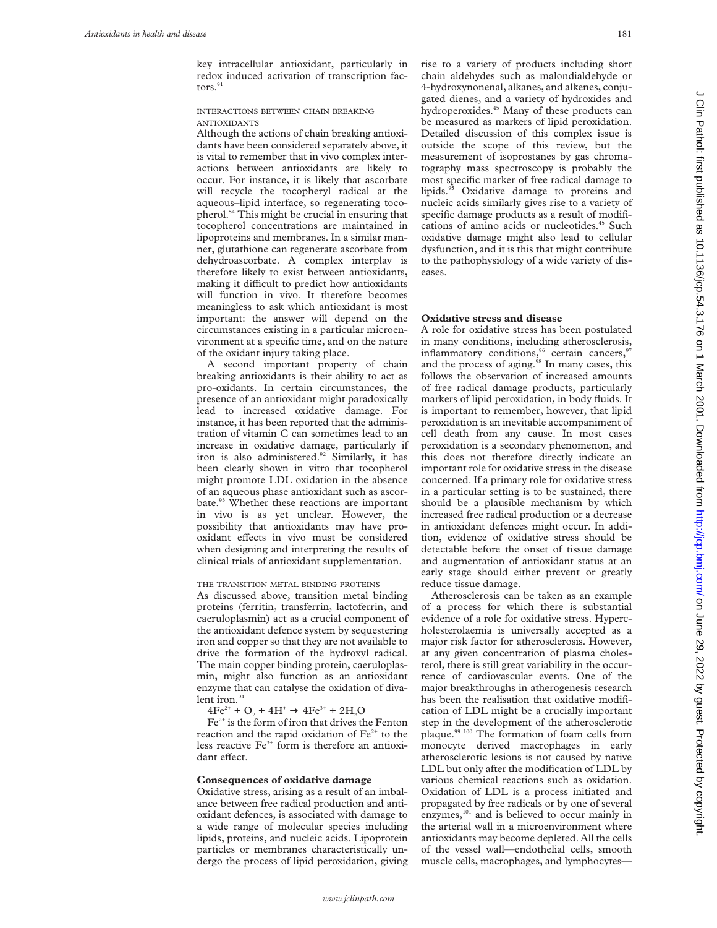key intracellular antioxidant, particularly in redox induced activation of transcription factors.<sup>91</sup>

#### INTERACTIONS BETWEEN CHAIN BREAKING ANTIOXIDANTS

Although the actions of chain breaking antioxidants have been considered separately above, it is vital to remember that in vivo complex interactions between antioxidants are likely to occur. For instance, it is likely that ascorbate will recycle the tocopheryl radical at the aqueous–lipid interface, so regenerating tocopherol.54 This might be crucial in ensuring that tocopherol concentrations are maintained in lipoproteins and membranes. In a similar manner, glutathione can regenerate ascorbate from dehydroascorbate. A complex interplay is therefore likely to exist between antioxidants, making it difficult to predict how antioxidants will function in vivo. It therefore becomes meaningless to ask which antioxidant is most important: the answer will depend on the circumstances existing in a particular microenvironment at a specific time, and on the nature of the oxidant injury taking place.

A second important property of chain breaking antioxidants is their ability to act as pro-oxidants. In certain circumstances, the presence of an antioxidant might paradoxically lead to increased oxidative damage. For instance, it has been reported that the administration of vitamin C can sometimes lead to an increase in oxidative damage, particularly if iron is also administered.<sup>92</sup> Similarly, it has been clearly shown in vitro that tocopherol might promote LDL oxidation in the absence of an aqueous phase antioxidant such as ascorbate.<sup>93</sup> Whether these reactions are important in vivo is as yet unclear. However, the possibility that antioxidants may have prooxidant effects in vivo must be considered when designing and interpreting the results of clinical trials of antioxidant supplementation.

#### THE TRANSITION METAL BINDING PROTEINS

As discussed above, transition metal binding proteins (ferritin, transferrin, lactoferrin, and caeruloplasmin) act as a crucial component of the antioxidant defence system by sequestering iron and copper so that they are not available to drive the formation of the hydroxyl radical. The main copper binding protein, caeruloplasmin, might also function as an antioxidant enzyme that can catalyse the oxidation of divalent iron. $94$ 

 $4Fe^{2+} + O_2 + 4H^+ \rightarrow 4Fe^{3+} + 2H_2O$ 

 $Fe<sup>2+</sup>$  is the form of iron that drives the Fenton reaction and the rapid oxidation of  $Fe<sup>2+</sup>$  to the less reactive  $Fe<sup>3+</sup>$  form is therefore an antioxidant effect.

# **Consequences of oxidative damage**

Oxidative stress, arising as a result of an imbalance between free radical production and antioxidant defences, is associated with damage to a wide range of molecular species including lipids, proteins, and nucleic acids. Lipoprotein particles or membranes characteristically undergo the process of lipid peroxidation, giving

rise to a variety of products including short chain aldehydes such as malondialdehyde or 4-hydroxynonenal, alkanes, and alkenes, conjugated dienes, and a variety of hydroxides and hydroperoxides.<sup>45</sup> Many of these products can be measured as markers of lipid peroxidation. Detailed discussion of this complex issue is outside the scope of this review, but the measurement of isoprostanes by gas chromatography mass spectroscopy is probably the most specific marker of free radical damage to lipids.<sup>95</sup> Oxidative damage to proteins and nucleic acids similarly gives rise to a variety of specific damage products as a result of modifications of amino acids or nucleotides.<sup>45</sup> Such oxidative damage might also lead to cellular dysfunction, and it is this that might contribute to the pathophysiology of a wide variety of diseases.

#### **Oxidative stress and disease**

A role for oxidative stress has been postulated in many conditions, including atherosclerosis, inflammatory conditions,<sup>96</sup> certain cancers,<sup>97</sup> and the process of aging.<sup>98</sup> In many cases, this follows the observation of increased amounts of free radical damage products, particularly markers of lipid peroxidation, in body fluids. It is important to remember, however, that lipid peroxidation is an inevitable accompaniment of cell death from any cause. In most cases peroxidation is a secondary phenomenon, and this does not therefore directly indicate an important role for oxidative stress in the disease concerned. If a primary role for oxidative stress in a particular setting is to be sustained, there should be a plausible mechanism by which increased free radical production or a decrease in antioxidant defences might occur. In addition, evidence of oxidative stress should be detectable before the onset of tissue damage and augmentation of antioxidant status at an early stage should either prevent or greatly reduce tissue damage.

Atherosclerosis can be taken as an example of a process for which there is substantial evidence of a role for oxidative stress. Hypercholesterolaemia is universally accepted as a major risk factor for atherosclerosis. However, at any given concentration of plasma cholesterol, there is still great variability in the occurrence of cardiovascular events. One of the major breakthroughs in atherogenesis research has been the realisation that oxidative modification of LDL might be a crucially important step in the development of the atherosclerotic plaque.99 100 The formation of foam cells from monocyte derived macrophages in early atherosclerotic lesions is not caused by native LDL but only after the modification of LDL by various chemical reactions such as oxidation. Oxidation of LDL is a process initiated and propagated by free radicals or by one of several enzymes,<sup>101</sup> and is believed to occur mainly in the arterial wall in a microenvironment where antioxidants may become depleted. All the cells of the vessel wall—endothelial cells, smooth muscle cells, macrophages, and lymphocytes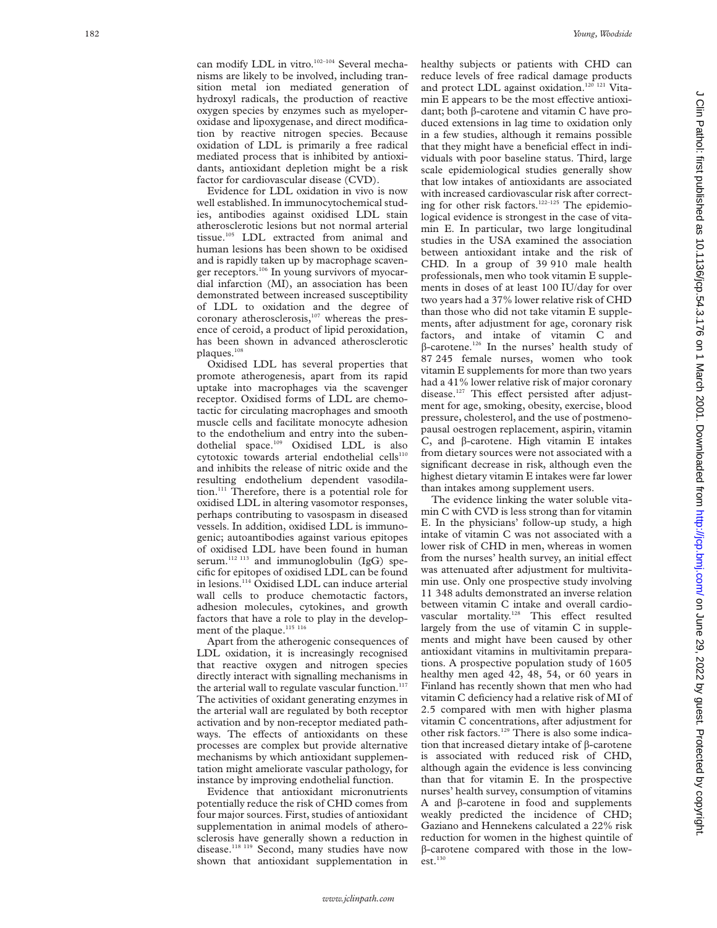can modify LDL in vitro.<sup>102-104</sup> Several mechanisms are likely to be involved, including transition metal ion mediated generation of hydroxyl radicals, the production of reactive oxygen species by enzymes such as myeloperoxidase and lipoxygenase, and direct modification by reactive nitrogen species. Because oxidation of LDL is primarily a free radical mediated process that is inhibited by antioxidants, antioxidant depletion might be a risk factor for cardiovascular disease (CVD).

Evidence for LDL oxidation in vivo is now well established. In immunocytochemical studies, antibodies against oxidised LDL stain atherosclerotic lesions but not normal arterial tissue.105 LDL extracted from animal and human lesions has been shown to be oxidised and is rapidly taken up by macrophage scavenger receptors.<sup>106</sup> In young survivors of myocardial infarction (MI), an association has been demonstrated between increased susceptibility of LDL to oxidation and the degree of coronary atherosclerosis,<sup>107</sup> whereas the presence of ceroid, a product of lipid peroxidation, has been shown in advanced atherosclerotic plaques.<sup>10</sup>

Oxidised LDL has several properties that promote atherogenesis, apart from its rapid uptake into macrophages via the scavenger receptor. Oxidised forms of LDL are chemotactic for circulating macrophages and smooth muscle cells and facilitate monocyte adhesion to the endothelium and entry into the subendothelial space.109 Oxidised LDL is also cytotoxic towards arterial endothelial cells<sup>110</sup> and inhibits the release of nitric oxide and the resulting endothelium dependent vasodilation.111 Therefore, there is a potential role for oxidised LDL in altering vasomotor responses, perhaps contributing to vasospasm in diseased vessels. In addition, oxidised LDL is immunogenic; autoantibodies against various epitopes of oxidised LDL have been found in human serum.<sup>112 113</sup> and immunoglobulin (IgG) specific for epitopes of oxidised LDL can be found in lesions.114 Oxidised LDL can induce arterial wall cells to produce chemotactic factors, adhesion molecules, cytokines, and growth factors that have a role to play in the development of the plaque.<sup>115 116</sup>

Apart from the atherogenic consequences of LDL oxidation, it is increasingly recognised that reactive oxygen and nitrogen species directly interact with signalling mechanisms in the arterial wall to regulate vascular function.<sup>117</sup> The activities of oxidant generating enzymes in the arterial wall are regulated by both receptor activation and by non-receptor mediated pathways. The effects of antioxidants on these processes are complex but provide alternative mechanisms by which antioxidant supplementation might ameliorate vascular pathology, for instance by improving endothelial function.

Evidence that antioxidant micronutrients potentially reduce the risk of CHD comes from four major sources. First, studies of antioxidant supplementation in animal models of atherosclerosis have generally shown a reduction in disease.<sup>118 119</sup> Second, many studies have now shown that antioxidant supplementation in

healthy subjects or patients with CHD can reduce levels of free radical damage products and protect LDL against oxidation.<sup>120 121</sup> Vitamin E appears to be the most effective antioxidant; both â-carotene and vitamin C have produced extensions in lag time to oxidation only in a few studies, although it remains possible that they might have a beneficial effect in individuals with poor baseline status. Third, large scale epidemiological studies generally show that low intakes of antioxidants are associated with increased cardiovascular risk after correcting for other risk factors.<sup>122-125</sup> The epidemiological evidence is strongest in the case of vitamin E. In particular, two large longitudinal studies in the USA examined the association between antioxidant intake and the risk of CHD. In a group of 39 910 male health professionals, men who took vitamin E supplements in doses of at least 100 IU/day for over two years had a 37% lower relative risk of CHD than those who did not take vitamin E supplements, after adjustment for age, coronary risk factors, and intake of vitamin C and  $\beta$ -carotene.<sup>126</sup> In the nurses' health study of 87 245 female nurses, women who took vitamin E supplements for more than two years had a 41% lower relative risk of major coronary disease.<sup>127</sup> This effect persisted after adjustment for age, smoking, obesity, exercise, blood pressure, cholesterol, and the use of postmenopausal oestrogen replacement, aspirin, vitamin C, and â-carotene. High vitamin E intakes from dietary sources were not associated with a significant decrease in risk, although even the highest dietary vitamin E intakes were far lower than intakes among supplement users.

The evidence linking the water soluble vitamin C with CVD is less strong than for vitamin E. In the physicians' follow-up study, a high intake of vitamin C was not associated with a lower risk of CHD in men, whereas in women from the nurses' health survey, an initial effect was attenuated after adjustment for multivitamin use. Only one prospective study involving 11 348 adults demonstrated an inverse relation between vitamin C intake and overall cardiovascular mortality.<sup>128</sup> This effect resulted largely from the use of vitamin C in supplements and might have been caused by other antioxidant vitamins in multivitamin preparations. A prospective population study of 1605 healthy men aged 42, 48, 54, or 60 years in Finland has recently shown that men who had vitamin C deficiency had a relative risk of MI of 2.5 compared with men with higher plasma vitamin C concentrations, after adjustment for other risk factors.<sup>129</sup> There is also some indication that increased dietary intake of  $\beta$ -carotene is associated with reduced risk of CHD, although again the evidence is less convincing than that for vitamin E. In the prospective nurses' health survey, consumption of vitamins A and â-carotene in food and supplements weakly predicted the incidence of CHD; Gaziano and Hennekens calculated a 22% risk reduction for women in the highest quintile of  $\beta$ -carotene compared with those in the low $est.<sup>130</sup>$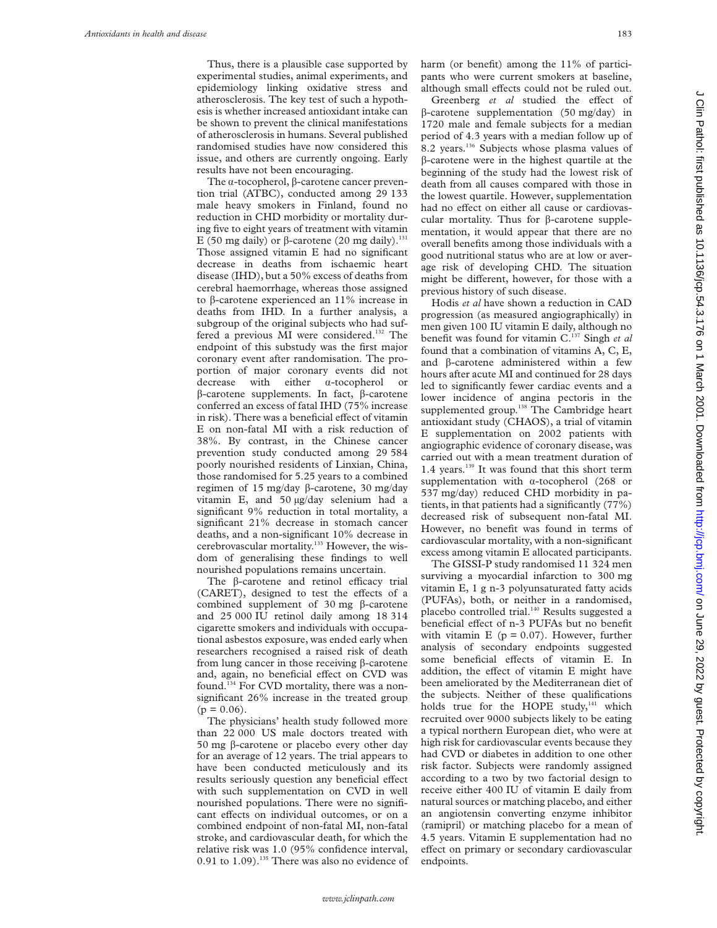Thus, there is a plausible case supported by experimental studies, animal experiments, and epidemiology linking oxidative stress and atherosclerosis. The key test of such a hypothesis is whether increased antioxidant intake can be shown to prevent the clinical manifestations of atherosclerosis in humans. Several published randomised studies have now considered this issue, and others are currently ongoing. Early results have not been encouraging.

The  $\alpha$ -tocopherol,  $\beta$ -carotene cancer prevention trial (ATBC), conducted among 29 133 male heavy smokers in Finland, found no reduction in CHD morbidity or mortality during five to eight years of treatment with vitamin E (50 mg daily) or  $\beta$ -carotene (20 mg daily).<sup>131</sup> Those assigned vitamin E had no significant decrease in deaths from ischaemic heart disease (IHD), but a 50% excess of deaths from cerebral haemorrhage, whereas those assigned to  $\beta$ -carotene experienced an 11% increase in deaths from IHD. In a further analysis, a subgroup of the original subjects who had suffered a previous MI were considered.<sup>132</sup> The endpoint of this substudy was the first major coronary event after randomisation. The proportion of major coronary events did not decrease with either  $\alpha$ -tocopherol or  $\beta$ -carotene supplements. In fact,  $\beta$ -carotene conferred an excess of fatal IHD (75% increase in risk). There was a beneficial effect of vitamin E on non-fatal MI with a risk reduction of 38%. By contrast, in the Chinese cancer prevention study conducted among 29 584 poorly nourished residents of Linxian, China, those randomised for 5.25 years to a combined regimen of 15 mg/day  $\beta$ -carotene, 30 mg/day vitamin E, and 50 µg/day selenium had a significant 9% reduction in total mortality, a significant 21% decrease in stomach cancer deaths, and a non-significant 10% decrease in cerebrovascular mortality.133 However, the wisdom of generalising these findings to well nourished populations remains uncertain.

The  $\beta$ -carotene and retinol efficacy trial (CARET), designed to test the effects of a combined supplement of 30 mg  $\beta$ -carotene and 25 000 IU retinol daily among 18 314 cigarette smokers and individuals with occupational asbestos exposure, was ended early when researchers recognised a raised risk of death from lung cancer in those receiving  $\beta$ -carotene and, again, no beneficial effect on CVD was found.134 For CVD mortality, there was a nonsignificant 26% increase in the treated group  $(p = 0.06)$ .

The physicians' health study followed more than 22 000 US male doctors treated with 50 mg β-carotene or placebo every other day for an average of 12 years. The trial appears to have been conducted meticulously and its results seriously question any beneficial effect with such supplementation on CVD in well nourished populations. There were no significant effects on individual outcomes, or on a combined endpoint of non-fatal MI, non-fatal stroke, and cardiovascular death, for which the relative risk was 1.0 (95% confidence interval, 0.91 to  $1.09$ ).<sup>135</sup> There was also no evidence of harm (or benefit) among the 11% of participants who were current smokers at baseline, although small effects could not be ruled out.

Greenberg et al studied the effect of  $\beta$ -carotene supplementation (50 mg/day) in 1720 male and female subjects for a median period of 4.3 years with a median follow up of 8.2 years.136 Subjects whose plasma values of  $\beta$ -carotene were in the highest quartile at the beginning of the study had the lowest risk of death from all causes compared with those in the lowest quartile. However, supplementation had no effect on either all cause or cardiovascular mortality. Thus for  $\beta$ -carotene supplementation, it would appear that there are no overall benefits among those individuals with a good nutritional status who are at low or average risk of developing CHD. The situation might be different, however, for those with a previous history of such disease.

Hodis *et al* have shown a reduction in CAD progression (as measured angiographically) in men given 100 IU vitamin E daily, although no benefit was found for vitamin C.137 Singh *et al* found that a combination of vitamins A, C, E, and **ß**-carotene administered within a few hours after acute MI and continued for 28 days led to significantly fewer cardiac events and a lower incidence of angina pectoris in the supplemented group.<sup>138</sup> The Cambridge heart antioxidant study (CHAOS), a trial of vitamin E supplementation on 2002 patients with angiographic evidence of coronary disease, was carried out with a mean treatment duration of 1.4 years.139 It was found that this short term supplementation with  $\alpha$ -tocopherol (268 or 537 mg/day) reduced CHD morbidity in patients, in that patients had a significantly (77%) decreased risk of subsequent non-fatal MI. However, no benefit was found in terms of cardiovascular mortality, with a non-significant excess among vitamin E allocated participants.

The GISSI-P study randomised 11 324 men surviving a myocardial infarction to 300 mg vitamin E, 1 g n-3 polyunsaturated fatty acids (PUFAs), both, or neither in a randomised, placebo controlled trial.140 Results suggested a beneficial effect of n-3 PUFAs but no benefit with vitamin E ( $p = 0.07$ ). However, further analysis of secondary endpoints suggested some beneficial effects of vitamin E. In addition, the effect of vitamin E might have been ameliorated by the Mediterranean diet of the subjects. Neither of these qualifications holds true for the HOPE study,<sup>141</sup> which recruited over 9000 subjects likely to be eating a typical northern European diet, who were at high risk for cardiovascular events because they had CVD or diabetes in addition to one other risk factor. Subjects were randomly assigned according to a two by two factorial design to receive either 400 IU of vitamin E daily from natural sources or matching placebo, and either an angiotensin converting enzyme inhibitor (ramipril) or matching placebo for a mean of 4.5 years. Vitamin E supplementation had no effect on primary or secondary cardiovascular endpoints.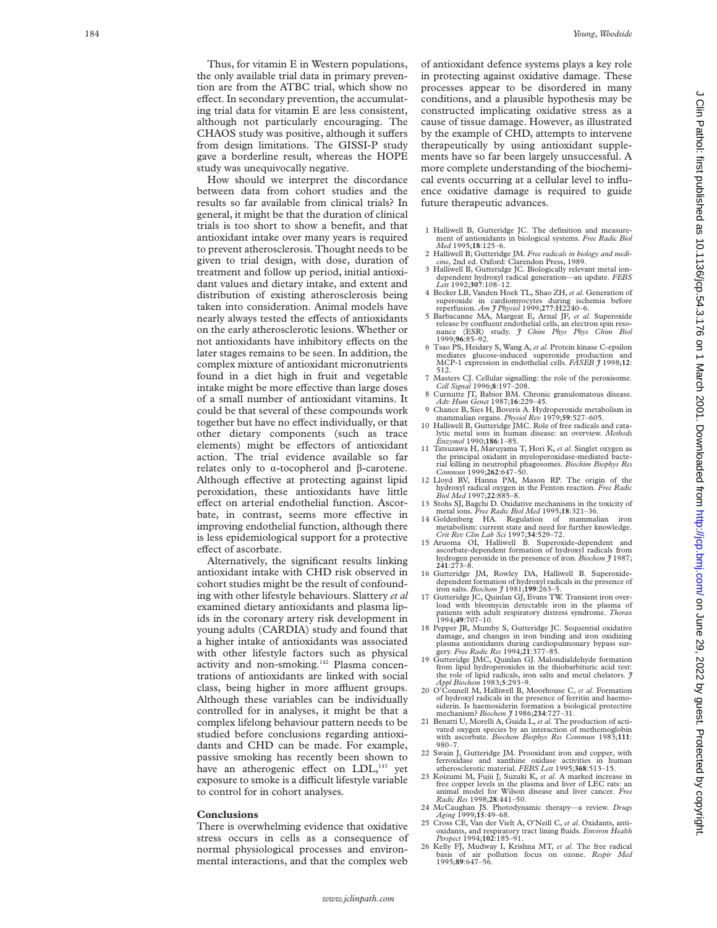Thus, for vitamin E in Western populations, the only available trial data in primary prevention are from the ATBC trial, which show no effect. In secondary prevention, the accumulating trial data for vitamin E are less consistent, although not particularly encouraging. The CHAOS study was positive, although it suffers from design limitations. The GISSI-P study gave a borderline result, whereas the HOPE study was unequivocally negative.

How should we interpret the discordance between data from cohort studies and the results so far available from clinical trials? In general, it might be that the duration of clinical trials is too short to show a benefit, and that antioxidant intake over many years is required to prevent atherosclerosis. Thought needs to be given to trial design, with dose, duration of treatment and follow up period, initial antioxidant values and dietary intake, and extent and distribution of existing atherosclerosis being taken into consideration. Animal models have nearly always tested the effects of antioxidants on the early atherosclerotic lesions. Whether or not antioxidants have inhibitory effects on the later stages remains to be seen. In addition, the complex mixture of antioxidant micronutrients found in a diet high in fruit and vegetable intake might be more effective than large doses of a small number of antioxidant vitamins. It could be that several of these compounds work together but have no effect individually, or that other dietary components (such as trace elements) might be effectors of antioxidant action. The trial evidence available so far relates only to  $\alpha$ -tocopherol and  $\beta$ -carotene. Although effective at protecting against lipid peroxidation, these antioxidants have little effect on arterial endothelial function. Ascorbate, in contrast, seems more effective in improving endothelial function, although there is less epidemiological support for a protective effect of ascorbate.

Alternatively, the significant results linking antioxidant intake with CHD risk observed in cohort studies might be the result of confounding with other lifestyle behaviours. Slattery *et al* examined dietary antioxidants and plasma lipids in the coronary artery risk development in young adults (CARDIA) study and found that a higher intake of antioxidants was associated with other lifestyle factors such as physical activity and non-smoking.<sup>142</sup> Plasma concentrations of antioxidants are linked with social class, being higher in more affluent groups. Although these variables can be individually controlled for in analyses, it might be that a complex lifelong behaviour pattern needs to be studied before conclusions regarding antioxidants and CHD can be made. For example, passive smoking has recently been shown to have an atherogenic effect on LDL,<sup>143</sup> yet exposure to smoke is a difficult lifestyle variable to control for in cohort analyses.

#### **Conclusions**

There is overwhelming evidence that oxidative stress occurs in cells as a consequence of normal physiological processes and environmental interactions, and that the complex web

of antioxidant defence systems plays a key role in protecting against oxidative damage. These processes appear to be disordered in many conditions, and a plausible hypothesis may be constructed implicating oxidative stress as a cause of tissue damage. However, as illustrated by the example of CHD, attempts to intervene therapeutically by using antioxidant supplements have so far been largely unsuccessful. A more complete understanding of the biochemical events occurring at a cellular level to influence oxidative damage is required to guide future therapeutic advances.

- 1 Halliwell B, Gutteridge JC. The definition and measure-ment of antioxidants in biological systems. *Free Radic Biol Med* 1995;**18**:125–6.
- 2 Halliwell B; Gutteridge JM. *Free radicals in biology and medi-*
- *cine*, 2nd ed. Oxford: Clarendon Press, 1989. 3 Halliwell B, Gutteridge JC. Biologically relevant metal ion-dependent hydroxyl radical generation—an update. *FEBS Lett* 1992;**307**:108–12.
- 4 Becker LB, Vanden Hoek TL, Shao ZH,*et al*. Generation of superoxide in cardiomyocytes during ischemia before reperfusion. *Am J Physiol* 1999;**277**:H2240–6.
- 5 Barbacanne MA, Margeat E, Arnal JF, *et al*. Superoxide release by confluent endothelial cells, an electron spin resonance (ESR) study. *J Chim Phys Phys Chim Biol* 1999;**96**:85–92.
- 6 Tsao PS, Heidary S, Wang A, *et al*. Protein kinase C-epsilon mediates glucose-induced superoxide production and MCP-1 expression in endothelial cells. *FASEB J* 1998;**12** : 512.
- 7 Masters CJ. Cellular signalling: the role of the peroxisome. *Cell Signal* 1996; **8**:197–208. 8 Curnutte JT, Babior BM. Chronic granulomatous disease.
- *Adv Hum Genet* 1987;**16**:229–45.
- 9 Chance B, Sies H, Boveris A. Hydroperoxide metabolism in mammalian organs. *Physiol Rev* 1979;**59**:527–605.
- 10 Halliwell B, Gutteridge JMC. Role of free radicals and catalytic metal ions in human disease: an overview. *Methods Enzymol* 1990;**186**:1–85.
- 11 Tatsuzawa H, Maruyama T, Hori K, *et al*. Singlet oxygen as the principal oxidant in myeloperoxidase-mediated bacte-rial killing in neutrophil phagosomes. *Biochim Biophys Res Commun* 1999;**262**:647–50.
- 12 Lloyd RV, Hanna PM, Mason RP. The origin of the hydroxyl radical oxygen in the Fenton reaction. *Free Radic Biol Med* 1997;**22**:885–8.
- Stohs SJ, Bagchi D. Oxidative mechanisms in the toxicity of metal ions. *Free Radic Biol Med* 1995;**18**:321–36. 14 Goldenberg HA. Regulation of mammalian iron
- metabolism: current state and need for further knowledge. *Crit Rev Clin Lab Sci* 1997;**34**:529–72.
- 15 Aruoma OI, Halliwell B. Superoxide-dependent and ascorbate-dependent formation of hydroxyl radicals from hydrogen peroxide in the presence of iron. *Biochem J* 1987; **<sup>241</sup>**:273–8.
- 16 Gutteridge JM, Rowley DA, Halliwell B. Superoxidedependent formation of hydroxyl radicals in the presence of iron salts. *Biochem J* 1981;**199**:263–5.
- 17 Gutteridge JC, Quinlan GJ, Evans TW. Transient iron over-load with bleomycin detectable iron in the plasma of patients with adult respiratory distress syndrome. *Thorax* 1994;**49**:707–10.
- 18 Pepper JR, Mumby S, Gutteridge JC. Sequential oxidative mage, and changes in iron binding and iron oxidizing plasma antioxidants during cardiopulmonary bypass sur-gery. *Free Radic Res* 1994;**21**:377–85.
- 19 Gutteridge JMC, Quinlan GJ. Malondialdehyde formation from lipid hydroperoxides in the thiobarbituric acid test: the role of lipid radicals, iron salts and metal chelators. *J*
- *Appl Biochem* 1983; **5**:293–9. 20 O'Connell M, Halliwell B, Moorhouse C, *et al*. Formation of hydroxyl radicals in the presence of ferritin and haemo-siderin. Is haemosiderin formation a biological protective
- mechanism? *Biochem J* 1986;**234**:727–31. 21 Benatti U, Morelli A, Guida L, *et al*. The production of activated oxygen species by an interaction of methemoglobin with ascorbate. *Biochem Biophys Res Commun* 1983;**111** : 980–7.
- 22 Swain J, Gutteridge JM. Prooxidant iron and copper, with ferroxidase and xanthine oxidase activities in human atherosclerotic material. *FEBS Lett* 1995;**368**:513–15.
- 23 Koizumi M, Fujii J, Suzuki K, *et al*. A marked increase in free copper levels in the plasma and liver of LEC rats: an animal model for Wilson disease and liver cancer. *Free Radic Res* 1998;**28**:441–50.
- 24 McCaughan JS. Photodynamic therapy—a review. *Drugs Aging* 1999;**15**:49–68.
- 25 Cross CE, Van der Vielt A, O'Neill C, *et al*. Oxidants, antioxidants, and respiratory tract lining fluids. *Environ Health Perspect* 1994;**102**:185–91.
- 26 Kelly FJ, Mudway I, Krishna MT, *et al*. The free radical basis of air pollution focus on ozone. *Respir Med* 1995;**89**:647–56.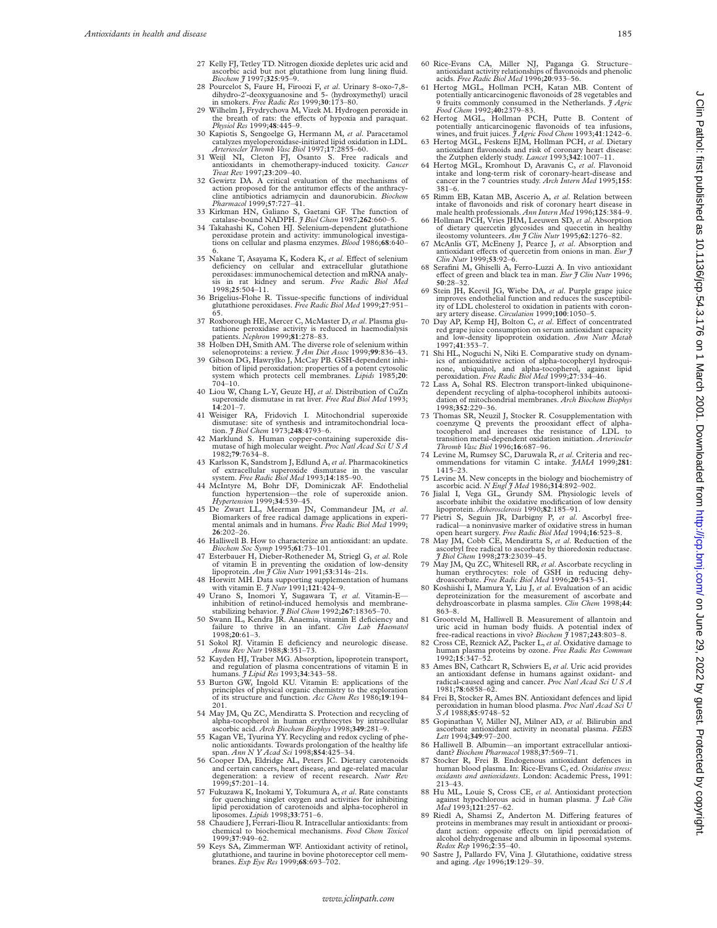- 27 Kelly FJ, Tetley TD. Nitrogen dioxide depletes uric acid and ascorbic acid but not glutathione from lung lining fluid. *Biochem J* 1997;**325**:95–9.
- 28 Pourcelot S, Faure H, Firoozi F, *et al*. Urinary 8-oxo-7,8 dihydro-2'-deoxyguanosine and 5- (hydroxymethyl) uracil in smokers. *Free Radic Res* 1999;**30**:173–80.
- 29 Wilhelm J, Frydrychova M, Vizek M. Hydrogen peroxide in the breath of rats: the effects of hypoxia and paraquat. *Physiol Res* 1999;**48**:445–9.
- 30 Kapiotis S, Sengoelge G, Hermann M, *et al*. Paracetamol catalyzes myeloperoxidase-initiated lipid oxidation in LDL. *Arterioscler Thromb Vasc Biol* 1997;**17**:2855–60.
- 31 Weijl NI, Cleton FJ, Osanto S. Free radicals and antioxidants in chemotherapy-induced toxicity. *Cancer Treat Rev* 1997;**23**:209–40.
- 32 Gewirtz DA. A critical evaluation of the mechanisms of action proposed for the antitumor effects of the anthracy-<br>cline antibiotics adriamycin and daunorubicin. *Biochem Pharmacol* 1999;**57**:727–41.
- 33 Kirkman HN, Galiano S, Gaetani GF. The function of catalase-bound NADPH. *J Biol Chem* 1987;**262**:660–5.
- 34 Takahashi K, Cohen HJ. Selenium-dependent glutathione peroxidase protein and activity: immunological investiga-tions on cellular and plasma enzymes. *Blood* 1986;**68**:640–
- 6.<br>
35 Nakane T, Asayama K, Kodera K, *et al*. Effect of selenium<br>
deficiency on cellular and extracellular glutathione<br>
peroxidases: immunochemical detection and mRNA analysis in rat kidney and serum. *Free Radic Biol Med*
- 1998;**25**:504–11. 36 Brigelius-Flohe R. Tissue-specific functions of individual glutathione peroxidases. *Free Radic Biol Med* 1999;**27**:951– 65.
- 37 Roxborough HE, Mercer C, McMaster D, *et al*. Plasma glutathione peroxidase activity is reduced in haemodialysis patients. *Nephron* 1999;**81**:278–83.
- 38 Holben DH, Smith AM. The diverse role of selenium within selenoproteins: a review. *J Am Diet Assoc* 1999;**99**:836–43. 39 Gibson DG, Hawrylko J, McCay PB. GSH-dependent inhi-
- bition of lipid peroxidation: properties of a potent cytosolic system which protects cell membranes. *Lipids* 1985;**20**: 704–10.
- 40 Liou W, Chang L-Y, Geuze HJ, *et al*. Distribution of CuZn superoxide dismutase in rat liver. *Free Rad Biol Med* 1993; **14**:201–7.
- 41 Weisiger RA, Fridovich I. Mitochondrial superoxide dismutase: site of synthesis and intramitochondrial loca-tion. *J Biol Chem* 1973;**248**:4793–6.
- 42 Marklund S. Human copper-containing superoxide dismutase of high molecular weight. *Proc Natl Acad Sci U S A* 1982;**79**:7634–8.
- 43 Karlsson K, Sandstrom J, Edlund A, et al. Pharmacokinetics<br>of extracellular superoxide dismutase in the vascular<br>system. Free Radic Biol Med 1993;14:185–90.<br>44 McIntyre M, Bohr DF, Dominiczak AF. Endothelial
- function hypertension—the role of superoxide anion. *Hypertension* 1999;**34**:539–45.
- 45 De Zwart LL, Meerman JN, Commandeur JM, *et al*. Biomarkers of free radical damage applications in experimental animals and in humans. *Free Radic Biol Med* 1999; **26**:202–26.
- 46 Halliwell B. How to characterize an antioxidant: an update. *Biochem Soc Symp* 1995;**61**:73–101.
- 47 Esterbauer H, Dieber-Rotheneder M, Striegl G, *et al*. Role of vitamin E in preventing the oxidation of low-density lipoprotein. *Am J Clin Nutr* 1991;**53**:314s–21s.
- 48 Horwitt MH. Data supporting supplementation of humans with vitamin E. *J Nutr* 1991;**121**:424–9.
- 49 Urano S, Inomori Y, Sugawara T, *et al*. Vitamin-E— inhibition of retinol-induced hemolysis and membrane-
- stabilizing behavior. *J Biol Chem* 1992;**267**:18365–70. 50 Swann IL, Kendra JR. Anaemia, vitamin E deficiency and failure to thrive in an infant. *Clin Lab Haematol* 1998;**20**:61–3.
- 51 Sokol RJ. Vitamin E deficiency and neurologic disease. *Annu Rev Nutr* 1988;**8**:351–73.
- 52 Kayden HJ, Traber MG. Absorption, lipoprotein transport, and regulation of plasma concentrations of vitamin E in humans. *J Lipid Res* 1993;**34**:343–58.
- 53 Burton GW, Ingold KU. Vitamin E: applications of the principles of physical organic chemistry to the exploration of its structure and function. *Acc Chem Res* 1986;**19**:194– 201.
- 54 May JM, Qu ZC, Mendiratta S. Protection and recycling of alpha-tocopherol in human erythrocytes by intracellular ascorbic acid. *Arch Biochem Biophys* 1998;**349**:281–9.
- 55 Kagan VE, Tyurina YY. Recycling and redox cycling of phe-nolic antioxidants. Towards prolongation of the healthy life span. *Ann N Y Acad Sci* 1998;**854**:425–34.
- 56 Cooper DA, Eldridge AL, Peters JC. Dietary carotenoids and certain cancers, heart disease, and age-related macular degeneration: a review of recent research. *Nutr Rev* 1999;**57**:201–14.
- 57 Fukuzawa K, Inokami Y, Tokumura A, *et al*. Rate constants for quenching singlet oxygen and activities for inhibiting lipid peroxidation of carotenoids and alpha-tocopherol in liposomes. *Lipids* 1998;**33**:751–6.
- 58 Chaudiere J, Ferrari-Iliou R. Intracellular antioxidants: from chemical to biochemical mechanisms. *Food Chem Toxicol* 1999;**37**:949–62.
- 59 Keys SA, Zimmerman WF. Antioxidant activity of retinol, glutathione, and taurine in bovine photoreceptor cell membranes. *Exp Eye Res* 1999;**68**:693–702.
- 60 Rice-Evans CA, Miller NJ, Paganga G. Structure– antioxidant activity relationships of flavonoids and phenolic
- acids. *Free Radic Biol Med* 1996;**20**:933–56. 61 Hertog MGL, Hollman PCH, Katan MB. Content of potentially anticarcinogenic flavonoids of 28 vegetables and 9 fruits commonly consumed in the Netherlands. *J Agric Food Chem* 1992;**40:**2379–83.
- 62 Hertog MGL, Hollman PCH, Putte B. Content of potentially anticarcinogenic flavonoids of tea infusions, wines, and fruit juices. *J Agric Food Chem* 1993;**41**:1242–6.
- 63 Hertog MGL, Feskens EJM, Hollman PCH, *et al*. Dietary antioxidant flavonoids and risk of coronary heart disease: the Zutphen elderly study. *Lancet* 1993;**342**:1007–11.
- 64 Hertog MGL, Kromhout D, Aravanis C, *et al*. Flavonoid intake and long-term risk of coronary-heart-disease and cancer in the 7 countries study. *Arch Intern Med* 1995;**155**: 381–6.
- 65 Rimm EB, Katan MB, Ascerio A, *et al*. Relation between intake of flavonoids and risk of coronary heart disease in male health professionals. *Ann Intern Med* 1996;**125**:384–9.
- 66 Hollman PCH, Vries JHM, Leeuwen SD, *et al*. Absorption of dietary quercetin glycosides and quecetin in healthy ileostomy volunteers. *Am J Clin Nutr* 1995;**62**:1276–82.
- 67 McAnlis GT, McEneny J, Pearce J, *et al*. Absorption and antioxidant effects of quercetin from onions in man. *Eur*  $\tilde{f}$
- *Clin Nutr* 1999;**53**:92–6. 68 Serafini M, Ghiselli A, Ferro-Luzzi A. In vivo antioxidant effect of green and black tea in man. *Eur J Clin Nutr* 1996; **50**:28–32.
- Stein JH, Keevil JG, Wiebe DA, *et al.* Purple grape juice<br>improves endothelial function and reduces the susceptibilimproves endothelial function and reduces the susceptibil-ity of LDL cholesterol to oxidation in patients with coronary artery disease. *Circulation* 1999;**100**:1050–5.
- 70 Day AP, Kemp HJ, Bolton C, *et al.* Effect of concentrated red grape juice consumption on serum antioxidant capacity and low-density lipoprotein oxidation. *Ann Nutr Metab* 1997;**41**:353–7.
- 71 Shi HL, Noguchi N, Niki E. Comparative study on dynamics of antioxidative action of alpha-tocopheryl hydroquinone, ubiquinol, and alpha-tocopherol, against lipid peroxidation. *Free Radic Biol Med* 1999;**27**:334–46.
- 72 Lass A, Sohal RS. Electron transport-linked ubiquinone-dependent recycling of alpha-tocopherol inhibits autooxidation of mitochondrial membranes. *Arch Biochem Biophys* 1998;**352**:229–36.
- 73 Thomas SR, Neuzil J, Stocker R. Cosupplementation with coenzyme Q prevents the prooxidant effect of alpha-tocopherol and increases the resistance of LDL to<br>transition metal-dependent oxidation initiation. *Arterioscler*<br>*Thromb Vasc Biol* 1996;**16**:687–96.
- 74 Levine M, Rumsey SC, Daruwala R, *et al*. Criteria and recommendations for vitamin C intake. *JAMA* 1999;**281**: 1415–23.
- 75 Levine M. New concepts in the biology and biochemistry of ascorbic acid. N *Engl J Med* 1986;314:892-902.<br>76 Jialal I, Vega GL, Grundy SM. Physiologic levels of ascorbate inhibit the oxidative modification of low densi
- lipoprotein. *Atherosclerosis* 1990;**82**:185–91.
- 77 Pietri S, Seguin JR, Darbigny P, *et al*. Ascorbyl free-radical—a noninvasive marker of oxidative stress in human open heart surgery. *Free Radic Biol Med* 1994;**16**:523–8.
- 78 May JM, Cobb CE, Mendiratta S, *et al*. Reduction of the ascorbyl free radical to ascorbate by thioredoxin reductase. *J Biol Chem* 1998;**273**:23039–45.
- 79 May JM, Qu ZC, Whitesell RR, *et al*. Ascorbate recycling in human erythrocytes: role of GSH in reducing dehy-droascorbate. *Free Radic Biol Med* 1996;**20**:543–51.
- 80 Koshiishi I, Mamura Y, Liu J, *et al*. Evaluation of an acidic deproteinization for the measurement of ascorbate and dehydroascorbate in plasma samples. *Clin Chem* 1998;**44**: 863–8.
- 81 Grootveld M, Halliwell B. Measurement of allantoin and uric acid in human body fluids. A potential index of free-radical reactions in vivo? *Biochem J* 1987;**243**:803–8.
- 82 Cross CE, Reznick AZ, Packer L, *et al*. Oxidative damage to human plasma proteins by ozone. *Free Radic Res Commun* 1992;**15**:347–52.
- 83 Ames BN, Cathcart R, Schwiers E, *et al*. Uric acid provides an antioxidant defense in humans against oxidantradical-caused aging and cancer. *Proc Natl Acad Sci U S A* 1981;**78**:6858–62.
- 84 Frei B, Stocker R, Ames BN. Antioxidant defences and lipid peroxidation in human blood plasma. *Proc Natl Acad Sci U S A* 1988;**85**:9748–52
- 85 Gopinathan V, Miller NJ, Milner AD, *et al*. Bilirubin and ascorbate antioxidant activity in neonatal plasma. *FEBS Lett* 1994;**349**:97–200.
- 86 Halliwell B. Albumin—an important extracellular antioxi-dant? *Biochem Pharmacol* 1988;**37**:569–71.
- 87 Stocker R, Frei B. Endogenous antioxidant defences in human blood plasma. In: Rice-Evans C, ed. *Oxidative stress: oxidants and antioxidants*. London: Academic Press, 1991: 213–43.
- 88 Hu ML, Louie S, Cross CE, *et al*. Antioxidant protection against hypochlorous acid in human plasma. *J Lab Clin Med* 1993;**121**:257–62.
- 89 Riedl A, Shamsi Z, Anderton M. Differing features of proteins in membranes may result in antioxidant or prooxidation of<br>dant action: opposite effects on lipid peroxidation of<br>alcohol dehydrogenase and albumin in liposomal systems. *Redox Rep* 1996;**2**:35–40.
- 90 Sastre J, Pallardo FV, Vina J. Glutathione, oxidative stress and aging. *Age* 1996;**19**:129–39.